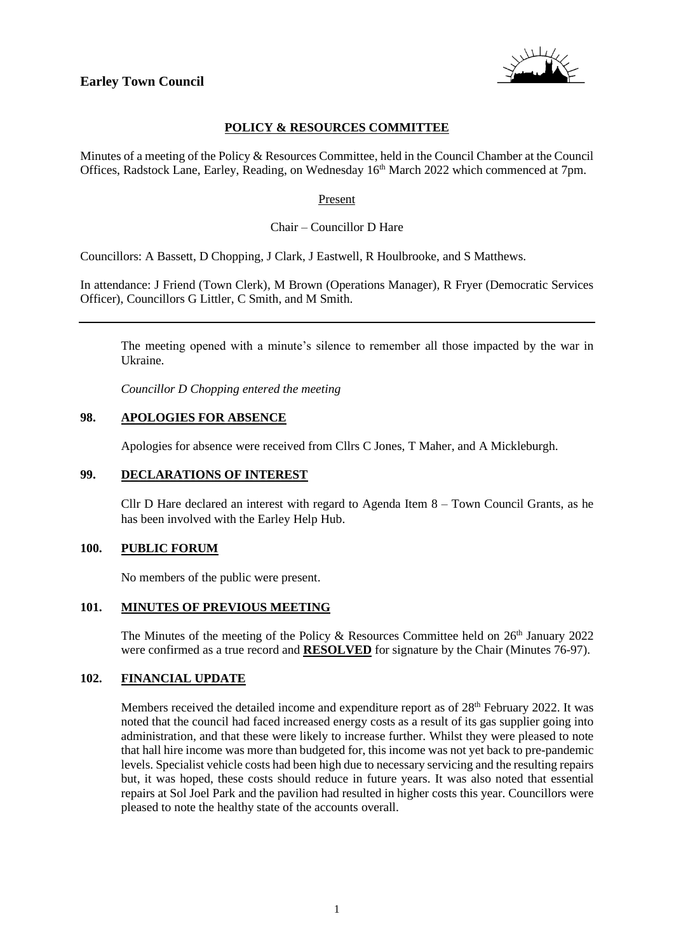

# **POLICY & RESOURCES COMMITTEE**

Minutes of a meeting of the Policy & Resources Committee, held in the Council Chamber at the Council Offices, Radstock Lane, Earley, Reading, on Wednesday 16<sup>th</sup> March 2022 which commenced at 7pm.

#### Present

Chair – Councillor D Hare

Councillors: A Bassett, D Chopping, J Clark, J Eastwell, R Houlbrooke, and S Matthews.

In attendance: J Friend (Town Clerk), M Brown (Operations Manager), R Fryer (Democratic Services Officer), Councillors G Littler, C Smith, and M Smith.

The meeting opened with a minute's silence to remember all those impacted by the war in Ukraine.

*Councillor D Chopping entered the meeting*

### **98. APOLOGIES FOR ABSENCE**

Apologies for absence were received from Cllrs C Jones, T Maher, and A Mickleburgh.

#### **99. DECLARATIONS OF INTEREST**

Cllr D Hare declared an interest with regard to Agenda Item 8 – Town Council Grants, as he has been involved with the Earley Help Hub.

### **100. PUBLIC FORUM**

No members of the public were present.

### **101. MINUTES OF PREVIOUS MEETING**

The Minutes of the meeting of the Policy & Resources Committee held on  $26<sup>th</sup>$  January 2022 were confirmed as a true record and **RESOLVED** for signature by the Chair (Minutes 76-97).

### **102. FINANCIAL UPDATE**

Members received the detailed income and expenditure report as of  $28<sup>th</sup>$  February 2022. It was noted that the council had faced increased energy costs as a result of its gas supplier going into administration, and that these were likely to increase further. Whilst they were pleased to note that hall hire income was more than budgeted for, this income was not yet back to pre-pandemic levels. Specialist vehicle costs had been high due to necessary servicing and the resulting repairs but, it was hoped, these costs should reduce in future years. It was also noted that essential repairs at Sol Joel Park and the pavilion had resulted in higher costs this year. Councillors were pleased to note the healthy state of the accounts overall.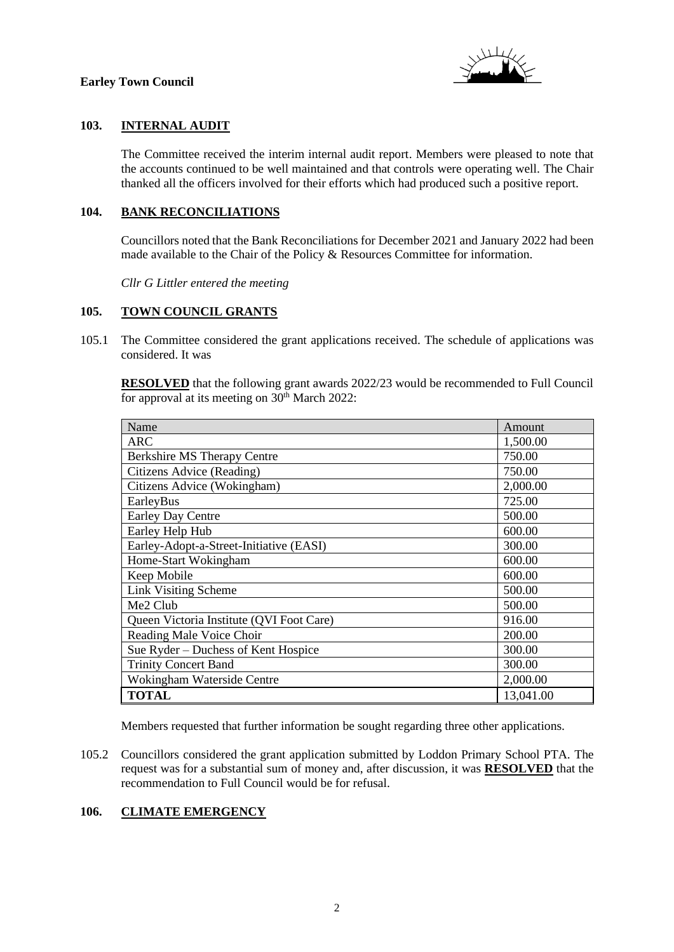

# **103. INTERNAL AUDIT**

The Committee received the interim internal audit report. Members were pleased to note that the accounts continued to be well maintained and that controls were operating well. The Chair thanked all the officers involved for their efforts which had produced such a positive report.

# **104. BANK RECONCILIATIONS**

Councillors noted that the Bank Reconciliations for December 2021 and January 2022 had been made available to the Chair of the Policy & Resources Committee for information.

*Cllr G Littler entered the meeting*

### **105. TOWN COUNCIL GRANTS**

105.1 The Committee considered the grant applications received. The schedule of applications was considered. It was

**RESOLVED** that the following grant awards 2022/23 would be recommended to Full Council for approval at its meeting on  $30<sup>th</sup>$  March 2022:

| Name                                     | Amount    |
|------------------------------------------|-----------|
| <b>ARC</b>                               | 1,500.00  |
| Berkshire MS Therapy Centre              | 750.00    |
| Citizens Advice (Reading)                | 750.00    |
| Citizens Advice (Wokingham)              | 2,000.00  |
| EarleyBus                                | 725.00    |
| <b>Earley Day Centre</b>                 | 500.00    |
| Earley Help Hub                          | 600.00    |
| Earley-Adopt-a-Street-Initiative (EASI)  | 300.00    |
| Home-Start Wokingham                     | 600.00    |
| Keep Mobile                              | 600.00    |
| <b>Link Visiting Scheme</b>              | 500.00    |
| Me2 Club                                 | 500.00    |
| Queen Victoria Institute (QVI Foot Care) | 916.00    |
| Reading Male Voice Choir                 | 200.00    |
| Sue Ryder – Duchess of Kent Hospice      | 300.00    |
| <b>Trinity Concert Band</b>              | 300.00    |
| Wokingham Waterside Centre               | 2,000.00  |
| <b>TOTAL</b>                             | 13,041.00 |

Members requested that further information be sought regarding three other applications.

105.2 Councillors considered the grant application submitted by Loddon Primary School PTA. The request was for a substantial sum of money and, after discussion, it was **RESOLVED** that the recommendation to Full Council would be for refusal.

# **106. CLIMATE EMERGENCY**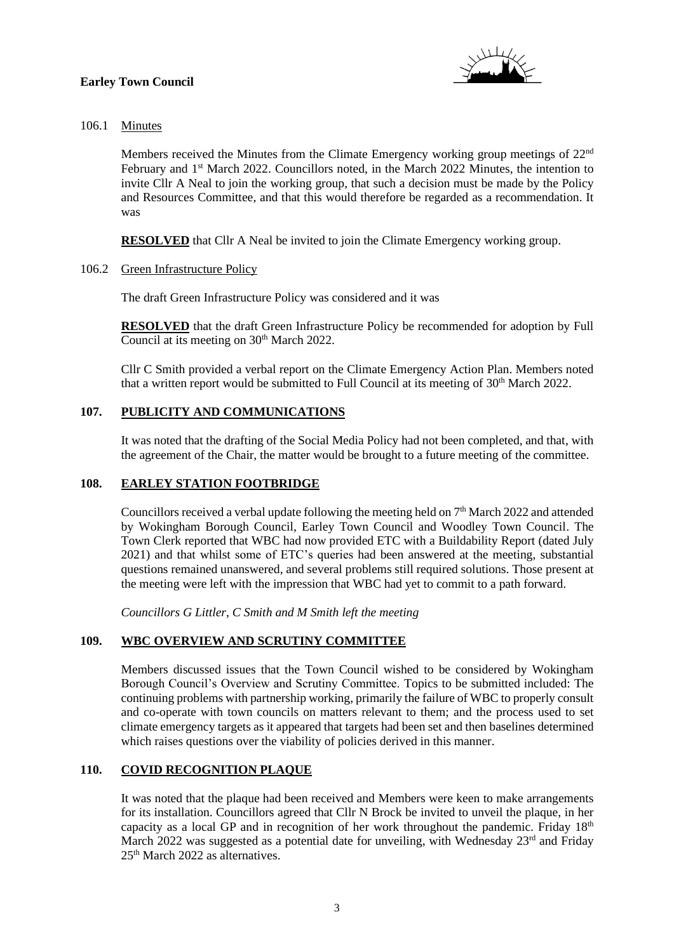

# 106.1 Minutes

Members received the Minutes from the Climate Emergency working group meetings of 22nd February and 1st March 2022. Councillors noted, in the March 2022 Minutes, the intention to invite Cllr A Neal to join the working group, that such a decision must be made by the Policy and Resources Committee, and that this would therefore be regarded as a recommendation. It was

**RESOLVED** that Cllr A Neal be invited to join the Climate Emergency working group.

106.2 Green Infrastructure Policy

The draft Green Infrastructure Policy was considered and it was

**RESOLVED** that the draft Green Infrastructure Policy be recommended for adoption by Full Council at its meeting on 30<sup>th</sup> March 2022.

Cllr C Smith provided a verbal report on the Climate Emergency Action Plan. Members noted that a written report would be submitted to Full Council at its meeting of  $30<sup>th</sup>$  March 2022.

# **107. PUBLICITY AND COMMUNICATIONS**

It was noted that the drafting of the Social Media Policy had not been completed, and that, with the agreement of the Chair, the matter would be brought to a future meeting of the committee.

### **108. EARLEY STATION FOOTBRIDGE**

Councillors received a verbal update following the meeting held on  $7<sup>th</sup>$  March 2022 and attended by Wokingham Borough Council, Earley Town Council and Woodley Town Council. The Town Clerk reported that WBC had now provided ETC with a Buildability Report (dated July 2021) and that whilst some of ETC's queries had been answered at the meeting, substantial questions remained unanswered, and several problems still required solutions. Those present at the meeting were left with the impression that WBC had yet to commit to a path forward.

*Councillors G Littler, C Smith and M Smith left the meeting*

### **109. WBC OVERVIEW AND SCRUTINY COMMITTEE**

Members discussed issues that the Town Council wished to be considered by Wokingham Borough Council's Overview and Scrutiny Committee. Topics to be submitted included: The continuing problems with partnership working, primarily the failure of WBC to properly consult and co-operate with town councils on matters relevant to them; and the process used to set climate emergency targets as it appeared that targets had been set and then baselines determined which raises questions over the viability of policies derived in this manner.

# **110. COVID RECOGNITION PLAQUE**

It was noted that the plaque had been received and Members were keen to make arrangements for its installation. Councillors agreed that Cllr N Brock be invited to unveil the plaque, in her capacity as a local GP and in recognition of her work throughout the pandemic. Friday  $18<sup>th</sup>$ March 2022 was suggested as a potential date for unveiling, with Wednesday  $23<sup>rd</sup>$  and Friday 25<sup>th</sup> March 2022 as alternatives.